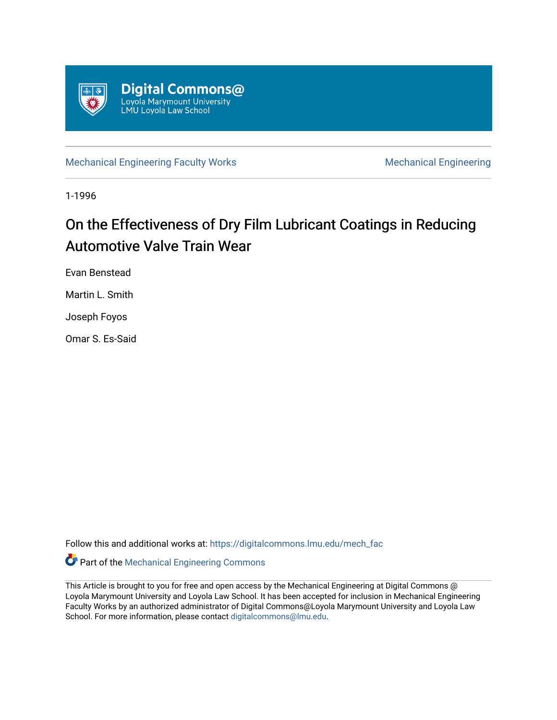

[Mechanical Engineering Faculty Works](https://digitalcommons.lmu.edu/mech_fac) Mechanical Engineering

1-1996

# On the Effectiveness of Dry Film Lubricant Coatings in Reducing Automotive Valve Train Wear

Evan Benstead

Martin L. Smith

Joseph Foyos

Omar S. Es-Said

Follow this and additional works at: [https://digitalcommons.lmu.edu/mech\\_fac](https://digitalcommons.lmu.edu/mech_fac?utm_source=digitalcommons.lmu.edu%2Fmech_fac%2F43&utm_medium=PDF&utm_campaign=PDFCoverPages)

Part of the [Mechanical Engineering Commons](http://network.bepress.com/hgg/discipline/293?utm_source=digitalcommons.lmu.edu%2Fmech_fac%2F43&utm_medium=PDF&utm_campaign=PDFCoverPages) 

This Article is brought to you for free and open access by the Mechanical Engineering at Digital Commons @ Loyola Marymount University and Loyola Law School. It has been accepted for inclusion in Mechanical Engineering Faculty Works by an authorized administrator of Digital Commons@Loyola Marymount University and Loyola Law School. For more information, please contact [digitalcommons@lmu.edu.](mailto:digitalcommons@lmu.edu)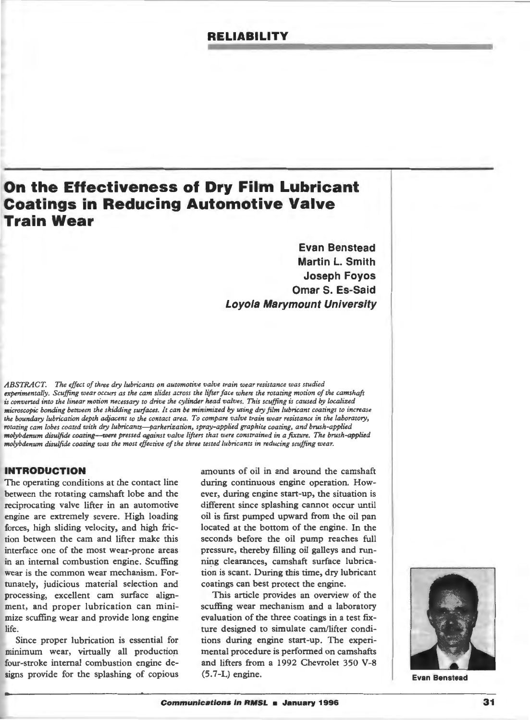# **RELIABILITY**

# **On the Effectiveness of Dry Film Lubricant Coatings in Reducing Automotive Valve Train Wear**

**Evan Benstead Martin L. Smith Joseph Foyos Omar S. Es-Said Loyola Marymount University** 

*ABSTRACT. The effect of three dry lubricams on automotive valve train wear resistance was studied*  experimentally. Scuffing wear occurs as the cam slides across the lifter face where the rotating motion of the camshaft is converted into the linear motion necessary to drive the cylinder head valves. This scuffing is caused by localized *microscopic bonding between the skidding surfaces. It can be minimized by using dry film lubricant coatings to increase the boundary lubrication depth adjacent to the contact area. To compare valve train wear resistance in the laboratory, rotating cam lobes coated with dry lubricants--parkerization, spray-applied graphite coating, and brush-applied molybdenum di.sulfide coating-were pressed against valve lifters that were constrained in a fixture. The brush-applied molybdenum disulfide coating was the most effective of the three tested lubricants in reducing scuffing wear.* 

# **INTRODUCTION**

The operating conditions at the contact line between the rotating camshaft lobe and the reciprocating valve lifter in an automotive engine are extremely severe. High loading forces, high sliding velocity, and high friction between the cam and lifter make this interface one of the most wear-prone areas in an internal combustion engine. Scuffing wear is the common wear mechanism. Fortunately, judicious material selection and processing, excellent cam surface alignment, and proper lubrication can minimize scuffing wear and provide long engine life.

Since proper lubrication is essential for minimum wear, virtually all production four-stroke internal combustion engine designs provide for the splashing of copious

amounts of oil in and around the camshaft during continuous engine operation. However, during engine start-up, the situation is different since splashing cannot occur until oil is first pumped upward from the oil pan located at the bottom of the engine. In the seconds before the oil pump reaches full pressure, thereby filling oil galleys and running clearances, camshaft surface lubrication is scant. During this time, dry lubricant coatings can best protect the engine.

This article provides an overview of the scuffing wear mechanism and a laboratory evaluation of the three coatings in a test fixture designed to simulate cam/lifter conditions during engine start-up. The experimental procedure is performed on camshafts and lifters from a 1992 Chevrolet 350 V-8 (5.7-L) engine.



**Evan Benstead**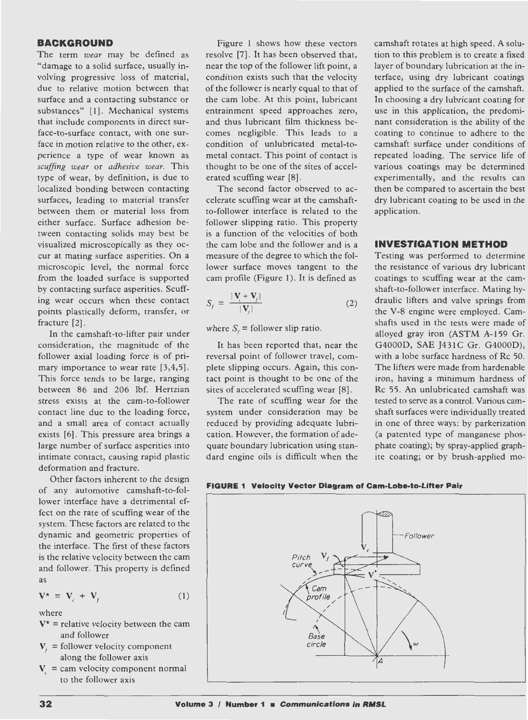# **BACKGROUND**

The term *wear* may be defined as "damage to a solid surface, usually involving progressive loss of material, due to relative motion between that surface and a contacting substance or substances" [1]. Mechanical systems that include components in direct surface-to-surface contact, with one surface in motion relative to the other, experience a type of wear known as *scuffing wear* or *adhesive wear.* This type of wear, by definition, is due to localized bonding between contacting surfaces, leading to material transfer between them or material loss from either surface. Surface adhesion between contacting solids may best be visualized microscopically as they occur at mating surface asperities. On a microscopic level, the normal force from the loaded surface is supported by contacting surface asperities. Scuffing wear occurs when these contact points plastically deform, transfer, or fracture [2].

In the camshaft-to-lifter pair under consideration, the magnitude of the follower axial loading force is of primary importance to wear rate [3,4,5]. This force tends to be large, ranging between 86 and 206 lbf. Hertzian stress exists at the cam-to-follower contact line due to the loading force, and a small area of contact actually exists [6]. This pressure area brings a large number of surface asperities into intimate contact, causing rapid plastic deformation and fracture.

Other factors inherent to the design of any automotive camshaft-to-follower interface have a detrimental effect on the rate of scuffing wear of the system. These factors are related to the dynamic and geometric properties of the interface. The first of these factors is the relative velocity between the cam and follower. This property is defined as

$$
\mathbf{V}^{\star} = \mathbf{V}_c + \mathbf{V}_f \tag{1}
$$

where

- $V^*$  = relative velocity between the cam and follower
- $V_i$  = follower velocity component along the follower axis
- $V =$  cam velocity component normal to the follower axis

Figure 1 shows how these vectors resolve [7]. It has been observed that, near the top of the follower lift point, a condition exists such that the velocity of the follower is nearly equal to that of the cam lobe. At this point, lubricant entrainment speed approaches zero, and thus lubricant film thickness becomes negligible. This leads to a condition of unlubricated metal-tometal contact. This point of contact is thought to be one of the sites of accelerated scuffing wear [8] .

The second factor observed to accelerate scuffing wear at the camshaftto-follower interface is related to the follower slipping ratio. This property is a function of the velocities of both the cam lobe and the follower and is a measure of the degree to which the follower surface moves tangent to the cam profile (Figure 1). It is defined as

$$
S_f = \frac{|\mathbf{V}_i + \mathbf{V}_f|}{|\mathbf{V}_f|} \tag{2}
$$

where  $S_i$  = follower slip ratio.

It has been reported that, near the reversal point of follower travel, complete slipping occurs. Again, this contact point is thought to be one of the sites of accelerated scuffing wear [8] .

The rate of scuffing wear for the system under consideration may be reduced by providing adequate lubrication. However, the formation of adequate boundary lubrication using standard engine oils is difficult when the

camshaft rotates at high speed. A solution to this problem is to create a fixed layer of boundary lubrication at the interface, using dry lubricant coatings applied to the surface of the camshaft. In choosing a dry lubricant coating for use in this application, the predominant consideration is the ability of the coating to continue to adhere to the camshaft surface under conditions of repeated loading. The service life of various coatings may be determined experimentally, and the results can then be compared to ascertain the best dry lubricant coating to be used in the application.

# **INVESTIGATION METHOD**

Testing was performed to determine the resistance of various dry lubricant coatings to scuffing wear at the camshaft-to-follower interface. Mating hydraulic lifters and valve springs from the V-8 engine were employed. Camshafts used in the tests were made of alloyed gray iron (ASTM A-159 Gr. G4000D, SAE J431C Gr. G4000D), with a lobe surface hardness of Re 50. The lifters were made from hardenable iron, having a minimum hardness of Re 55 . An unlubricated camshaft was tested to serve as a control. Various camshaft surfaces were individually treated in one of three ways: by parkerization (a patented type of manganese phosphate coating); by spray-applied graphite coating; or by brush-applied mo-



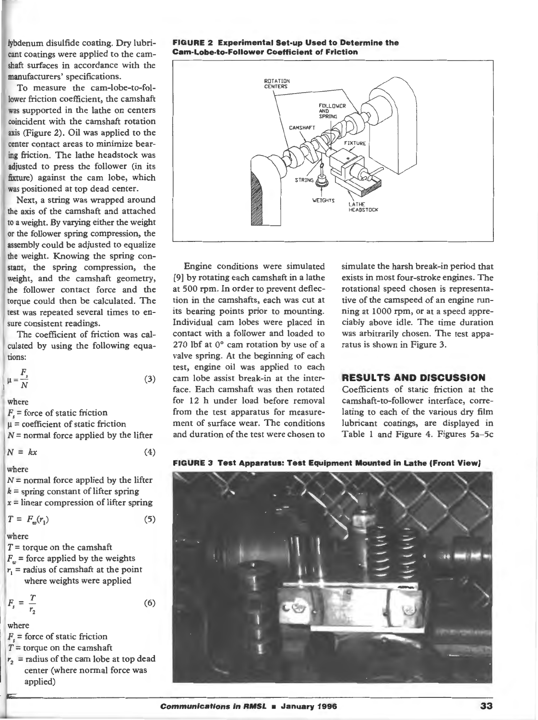lybdenum disulfide coating. Dry lubricant coatings were applied to the camshaft surfaces in accordance with the manufacturers' specifications.

To measure the cam-lobe-to-follower friction coefficient, the camshaft was supported in the lathe on centers coincident with the camshaft rotation axis (Figure 2). Oil was applied to the center contact areas to minimize bearing friction. The lathe headstock was adjusted to press the follower (in its fixture) against the cam lobe, which was positioned at top dead center.

Next, a string was wrapped around the axis of the camshaft and attached to a weight. By varying either the weight or the follower spring compression, the assembly could be adjusted to equalize the weight. Knowing the spring constant, the spring compression, the weight, and the camshaft geometry, the follower contact force and the torque could then be calculated. The test was repeated several times to ensure consistent readings.

The coefficient of friction was cal-<br>culated by using the following equations:

(3)

$$
\mu = \frac{F_s}{N}
$$

where

 $F<sub>r</sub>$  = force of static friction  $\mu$  = coefficient of static friction  $N =$  normal force applied by the lifter

$$
N = kx \tag{4}
$$

where

 $N =$  normal force applied by the lifter  $k =$  spring constant of lifter spring  $x =$  linear compression of lifter spring

$$
T = F_w(r_1) \tag{5}
$$

where

 $T =$  torque on the camshaft

$$
F_w
$$
 = force applied by the weights

 $r_1$  = radius of camshaft at the point where weights were applied

$$
F_s = \frac{T}{r_2} \tag{6}
$$

where

- $F<sub>s</sub>$  = force of static friction
- $T =$  torque on the camshaft
- $r_2$  = radius of the cam lobe at top dead center (where normal force was applied)

**FIGURE 2 Experimental Set-up Used to Determine the Cam-Lobe-to-Follower Coefficient of Friction** 



Engine conditions were simulated [9] by rotating each camshaft in a lathe at 500 rpm. In order to prevent deflection in the camshafts, each was cut at its bearing points prior to mounting. Individual cam lobes were placed in contact with a follower and loaded to 270 !bf at 0° cam rotation by use of a valve spring. At the beginning of each test, engine oil was applied to each cam lobe assist break-in at the interface. Each camshaft was then rotated for 12 h under load before removal from the test apparatus for measurement of surface wear. The conditions and duration of the test were chosen to

simulate the harsh break-in period that exists in most four-stroke engines. The rotational speed chosen is representative of the camspeed of an engine running at 1000 rpm, or at a speed appreciably above idle. The time duration was arbitrarily chosen. The test apparatus is shown in Figure 3.

# **RESULTS AND DISCUSSION**

Coefficients of static friction at the camshaft-to-follower interface, correlating to each of the various dry film lubricant coatings, are displayed in Table 1 and Figure 4. Figures 5a-5c



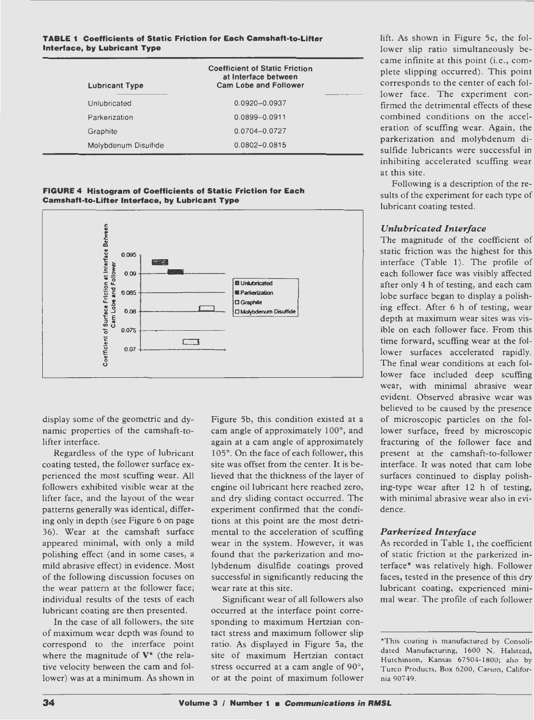#### **TABLE 1 Coefficients of Static Friction for Each Camshaft-to-Lifter Interface, by Lubricant Type**

| <b>Lubricant Type</b> | <b>Coefficient of Static Friction</b><br>at Interface between<br><b>Cam Lobe and Follower</b> |
|-----------------------|-----------------------------------------------------------------------------------------------|
| Unlubricated          | 0.0920-0.0937                                                                                 |
| Parkerization         | 0.0899-0.0911                                                                                 |
| Graphite              | 0.0704-0.0727                                                                                 |
| Molybdenum Disulfide  | $0.0802 - 0.0815$                                                                             |

**FIGURE 4 Histogram of Coefficients of Static Friction for Each Camshaft-to-Lifter Interface, by Lubricant Type** 



display some of the geometric and dynamic properties of the camshaft-tolifter interface.

Regardless of the type of lubricant coating tested, the follower surface experienced the most scuffing wear. All followers exhibited visible wear at the lifter face, and the layout of the wear patterns generally was identical, differing only in depth (see Figure 6 on page 36). Wear at the camshaft surface appeared minimal, with only a mild polishing effect (and in some cases, a mild abrasive effect) in evidence. Most of the following discussion focuses on the wear pattern at the follower face; individual results of the tests of each lubricant coating are then presented.

In the case of all followers, the site of maximum wear depth was found to correspond to the interface point where the magnitude of  $V^*$  (the relative velocity between the cam and follower) was at a minimum. As shown in

Figure Sb, this condition existed at a cam angle of approximately 100°, and again at a cam angle of approximately 105°. On the face of each follower, this site was offset from the center. It is believed that the thickness of the layer of engine oil lubricant here reached zero, and dry sliding contact occurred. The experiment confirmed that the conditions at this point are the most detrimental to the acceleration of scuffing wear in the system. However, it was found that the parkerization and molybdenum disulfide coatings proved successful in significantly reducing the wear rate at this site.

Significant wear of all followers also occurred at the interface point corresponding to maximum Hertzian contact stress and maximum follower slip ratio. As displayed in Figure Sa, the site of maximum Hertzian contact stress occurred at a cam angle of 90°, or at the point of maximum follower lift. As shown in Figure Sc, the follower slip ratio simultaneously became infinite at this point (i.e., complete slipping occurred). This point corresponds to the center of each follower face. The experiment confirmed the detrimental effects of these combined conditions on the acceleration of scuffing wear. Again, the parkerization and molybdenum disulfide lubricants were successful in inhibiting accelerated scuffing wear at this site.

Following is a description of the results of the experiment for each type of lubricant coating tested.

# *Unlubricated Interface*

The magnitude of the coefficient of static friction was the highest for this interface (Table 1). The profile of each follower face was visibly affected after only 4 h of testing, and each cam lobe surface began to display a polishing effect. After 6 h of testing, wear depth at maximum wear sites was visible on each follower face. From this time forward, scuffing wear at the follower surfaces accelerated rapidly. The final wear conditions at each follower face included deep scuffing wear, with minimal abrasive wear evident. Observed abrasive wear was believed to be caused by the presence of microscopic particles on the follower surface, freed by microscopic fracturing of the follower face and present at the camshaft-to-follower interface. It was noted that cam lobe surfaces continued to display polishing-type wear after 12 h of testing, with minimal abrasive wear also in evidence.

#### *Parkerized Interface*

As recorded in Table 1, the coefficient of static friction at the parkerized interface[\\*](#page-4-0) was relatively high. Follower faces, tested in the presence of this dry lubricant coating, experienced minimal wear. The profile of each follower

<span id="page-4-0"></span><sup>\*</sup>This coating is manufactured by Consolidated Manufacturing, 1600 N. Halstead, Hutchinson, Kansas 67504-1800; also by Turco Products, Box 6200, Carson, California 90749.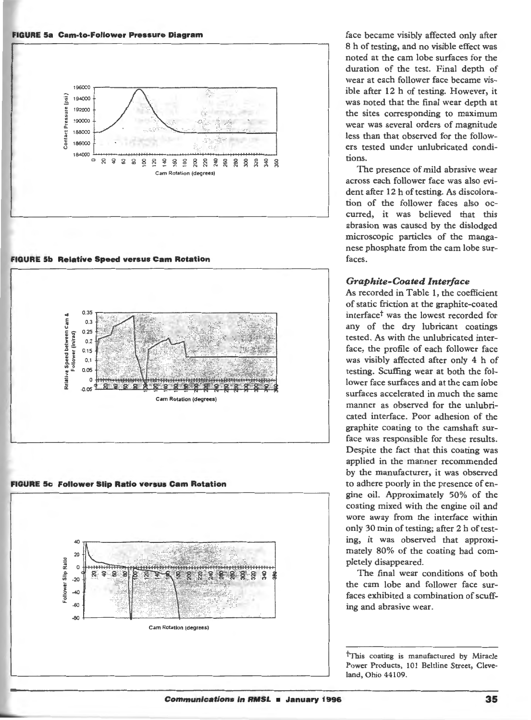#### **FIGURE Sa Cam-to-Follower Pressure Diagram**



**FIGURE Sb Relative Speed versus Cam Rotation** 



**FIGURE Sc Follower Slip Ratio versus Cam Rotation** 



face became visibly affected only after 8 h of testing, and no visible effect was noted at the cam lobe surfaces for the duration of the test. Final depth of wear at each follower face became visible after 12 h of testing. However, it was noted that the final wear depth at the sites corresponding to maximum wear was several orders of magnitude less than that observed for the followers tested under unlubricated conditions.

The presence of mild abrasive wear across each follower face was also evident after 12 h of testing. As discoloration of the follower faces also occurred, it was believed that this abrasion was caused by the dislodged microscopic particles of the manganese phosphate from the cam lobe surfaces.

#### *Graphite-Coated Interface*

As recorded in Table **1,** the coefficient of static friction at the graphite-coated interface<sup>†</sup> was the lowest recorded for any of the dry lubricant coatings tested. As with the unlubricated interface, the profile of each follower face was visibly affected after only 4 h of testing. Scuffing wear at both the follower face surfaces and at the cam lobe surfaces accelerated in much the same manner as observed for the unlubricated interface. Poor adhesion of the graphite coating to the camshaft surface was responsible for these results. Despite the fact that this coating was applied in the manner recommended by the manufacturer, it was observed to adhere poorly in the presence of engine oil. Approximately 50% of the coating mixed with the engine oil and wore away from the interface within only 30 min of testing; after 2 h of testing, it was observed that approximately 80% of the coating had completely disappeared.

The final wear conditions of both the cam lobe and follower face surfaces exhibited a combination of scuffing and abrasive wear.

<sup>t</sup>This coating is manufactured by Miracle Power Products, 101 Beltline Street, Cleve land, Ohio 44109